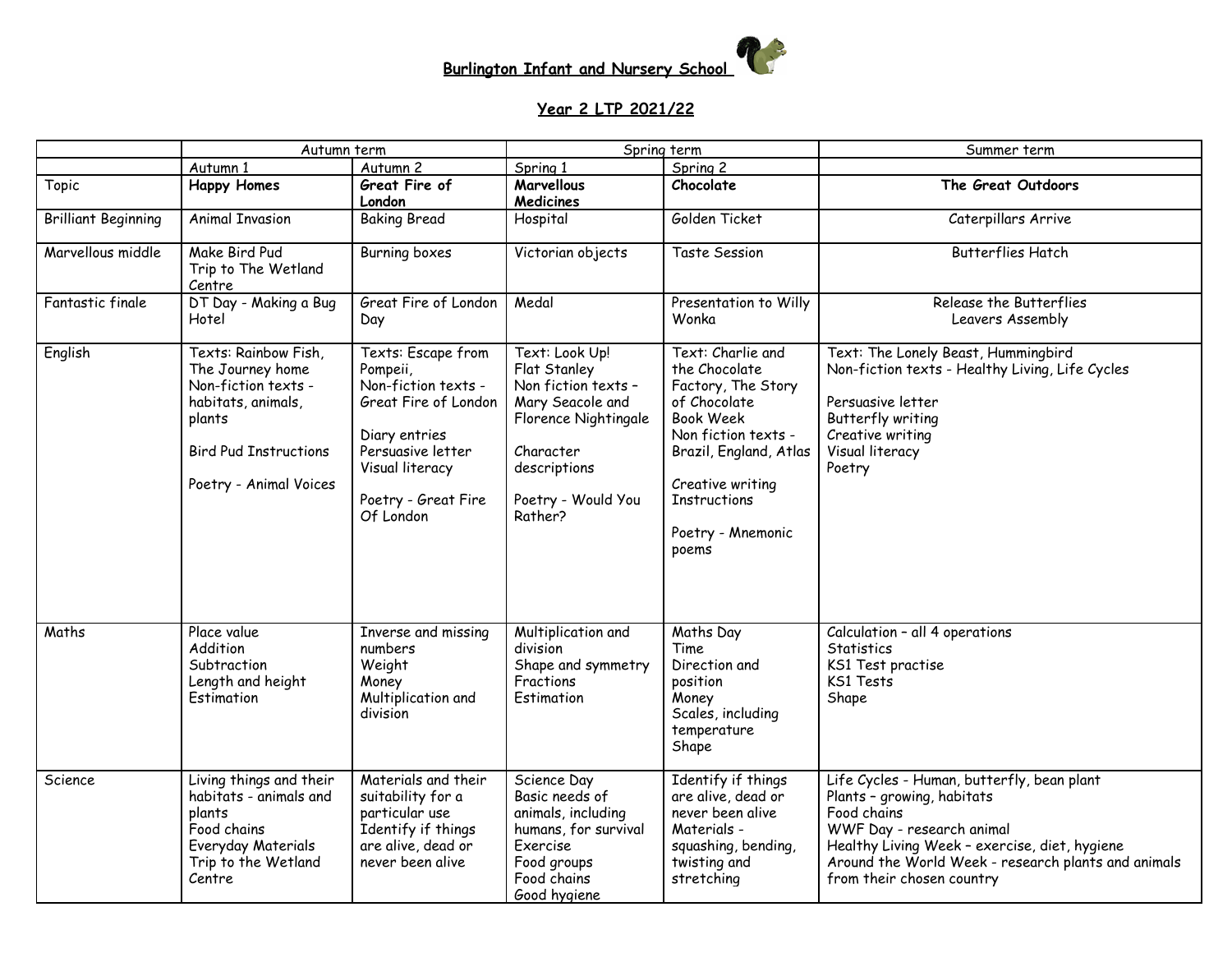

## **Year 2 LTP 2021/22**

|                            | Autumn term                                                                                                                                               |                                                                                                                                                                            | Spring term                                                                                                                                                     |                                                                                                                                                                                                                        | Summer term                                                                                                                                                                                                                                               |  |
|----------------------------|-----------------------------------------------------------------------------------------------------------------------------------------------------------|----------------------------------------------------------------------------------------------------------------------------------------------------------------------------|-----------------------------------------------------------------------------------------------------------------------------------------------------------------|------------------------------------------------------------------------------------------------------------------------------------------------------------------------------------------------------------------------|-----------------------------------------------------------------------------------------------------------------------------------------------------------------------------------------------------------------------------------------------------------|--|
|                            | Autumn 1                                                                                                                                                  | Autumn <sub>2</sub>                                                                                                                                                        | Spring 1                                                                                                                                                        | Spring 2                                                                                                                                                                                                               |                                                                                                                                                                                                                                                           |  |
| Topic                      | <b>Happy Homes</b>                                                                                                                                        | Great Fire of<br>London                                                                                                                                                    | <b>Marvellous</b><br><b>Medicines</b>                                                                                                                           | Chocolate                                                                                                                                                                                                              | The Great Outdoors                                                                                                                                                                                                                                        |  |
| <b>Brilliant Beginning</b> | <b>Animal Invasion</b>                                                                                                                                    | <b>Baking Bread</b>                                                                                                                                                        | Hospital                                                                                                                                                        | Golden Ticket                                                                                                                                                                                                          | Caterpillars Arrive                                                                                                                                                                                                                                       |  |
| Marvellous middle          | Make Bird Pud<br>Trip to The Wetland<br>Centre                                                                                                            | <b>Burning boxes</b>                                                                                                                                                       | Victorian objects                                                                                                                                               | Taste Session                                                                                                                                                                                                          | <b>Butterflies Hatch</b>                                                                                                                                                                                                                                  |  |
| Fantastic finale           | DT Day - Making a Bug<br>Hotel                                                                                                                            | Great Fire of London<br>Day                                                                                                                                                | Medal                                                                                                                                                           | Presentation to Willy<br>Wonka                                                                                                                                                                                         | Release the Butterflies<br>Leavers Assembly                                                                                                                                                                                                               |  |
| English                    | Texts: Rainbow Fish,<br>The Journey home<br>Non-fiction texts -<br>habitats, animals,<br>plants<br><b>Bird Pud Instructions</b><br>Poetry - Animal Voices | Texts: Escape from<br>Pompeii,<br>Non-fiction texts -<br>Great Fire of London<br>Diary entries<br>Persuasive letter<br>Visual literacy<br>Poetry - Great Fire<br>Of London | Text: Look Up!<br>Flat Stanley<br>Non fiction texts -<br>Mary Seacole and<br>Florence Nightingale<br>Character<br>descriptions<br>Poetry - Would You<br>Rather? | Text: Charlie and<br>the Chocolate<br>Factory, The Story<br>of Chocolate<br><b>Book Week</b><br>Non fiction texts -<br>Brazil, England, Atlas<br>Creative writing<br><b>Instructions</b><br>Poetry - Mnemonic<br>poems | Text: The Lonely Beast, Hummingbird<br>Non-fiction texts - Healthy Living, Life Cycles<br>Persuasive letter<br>Butterfly writing<br>Creative writing<br>Visual literacy<br>Poetry                                                                         |  |
| Maths                      | Place value<br>Addition<br>Subtraction<br>Length and height<br>Estimation                                                                                 | <b>Inverse and missing</b><br>numbers<br>Weight<br>Money<br>Multiplication and<br>division                                                                                 | Multiplication and<br>division<br>Shape and symmetry<br>Fractions<br>Estimation                                                                                 | Maths Day<br>Time<br>Direction and<br>position<br>Money<br>Scales, including<br>temperature<br>Shape                                                                                                                   | Calculation - all 4 operations<br><b>Statistics</b><br>KS1 Test practise<br>KS1 Tests<br>Shape                                                                                                                                                            |  |
| Science                    | Living things and their<br>habitats - animals and<br>plants<br>Food chains<br>Everyday Materials<br>Trip to the Wetland<br>Centre                         | Materials and their<br>suitability for a<br>particular use<br>Identify if things<br>are alive, dead or<br>never been alive                                                 | Science Day<br>Basic needs of<br>animals, including<br>humans, for survival<br>Exercise<br>Food groups<br>Food chains<br>Good hygiene                           | Identify if things<br>are alive, dead or<br>never been alive<br>Materials -<br>squashing, bending,<br>twisting and<br>stretching                                                                                       | Life Cycles - Human, butterfly, bean plant<br>Plants - growing, habitats<br>Food chains<br>WWF Day - research animal<br>Healthy Living Week - exercise, diet, hygiene<br>Around the World Week - research plants and animals<br>from their chosen country |  |